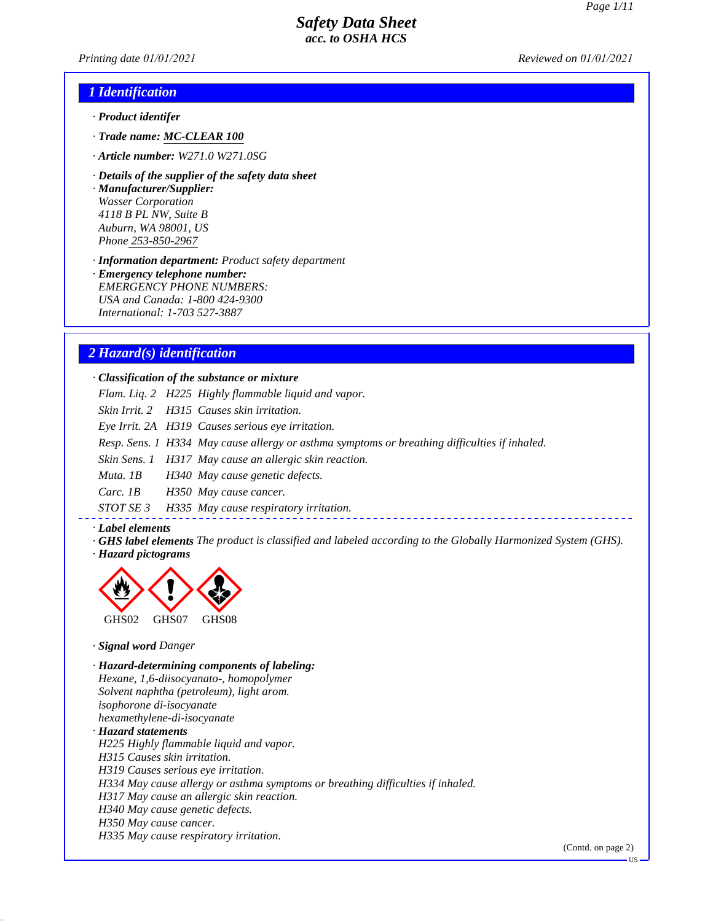*Printing date 01/01/2021 Reviewed on 01/01/2021*

### *1 Identification*

- *· Product identifer*
- *· Trade name: MC-CLEAR 100*
- *· Article number: W271.0 W271.0SG*
- *· Details of the supplier of the safety data sheet*

*· Manufacturer/Supplier: Wasser Corporation 4118 B PL NW, Suite B Auburn, WA 98001, US Phone 253-850-2967*

*· Information department: Product safety department*

*· Emergency telephone number: EMERGENCY PHONE NUMBERS: USA and Canada: 1-800 424-9300 International: 1-703 527-3887*

## *2 Hazard(s) identification*

*· Classification of the substance or mixture*

*Flam. Liq. 2 H225 Highly flammable liquid and vapor.*

*Skin Irrit. 2 H315 Causes skin irritation.*

*Eye Irrit. 2A H319 Causes serious eye irritation.*

*Resp. Sens. 1 H334 May cause allergy or asthma symptoms or breathing difficulties if inhaled.*

*Skin Sens. 1 H317 May cause an allergic skin reaction.*

*Muta. 1B H340 May cause genetic defects.*

*Carc. 1B H350 May cause cancer.*

*STOT SE 3 H335 May cause respiratory irritation.*

#### *· Label elements*

*· GHS label elements The product is classified and labeled according to the Globally Harmonized System (GHS). · Hazard pictograms*



*· Signal word Danger*

*· Hazard-determining components of labeling: Hexane, 1,6-diisocyanato-, homopolymer Solvent naphtha (petroleum), light arom. isophorone di-isocyanate hexamethylene-di-isocyanate · Hazard statements H225 Highly flammable liquid and vapor. H315 Causes skin irritation. H319 Causes serious eye irritation. H334 May cause allergy or asthma symptoms or breathing difficulties if inhaled. H317 May cause an allergic skin reaction. H340 May cause genetic defects. H350 May cause cancer. H335 May cause respiratory irritation.*

(Contd. on page 2)

US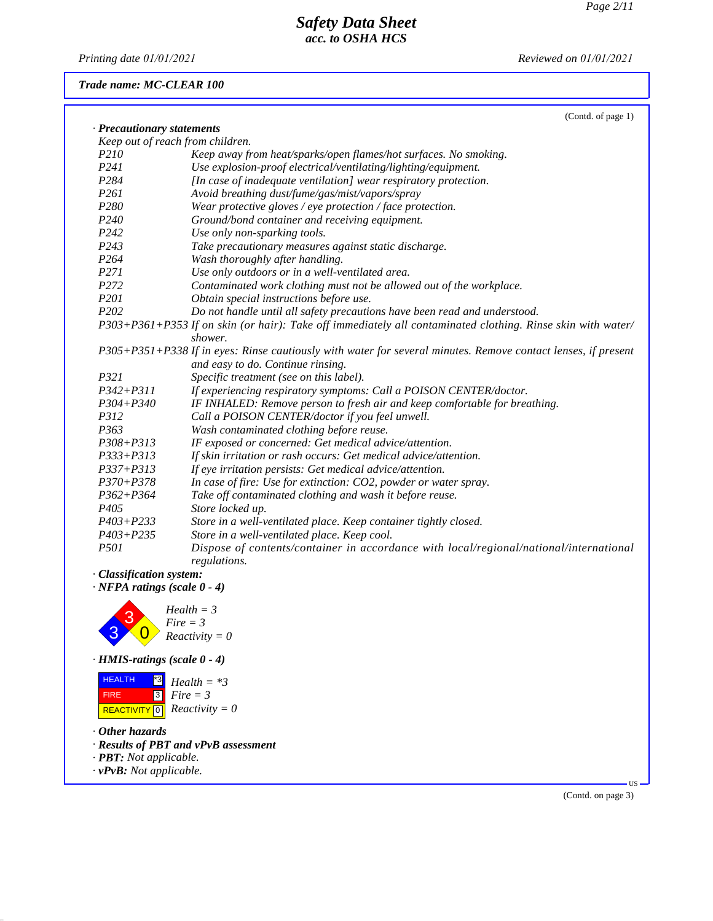*Printing date 01/01/2021 Reviewed on 01/01/2021*

## *Trade name: MC-CLEAR 100*

|                                                                     | (Contd. of page 1)                                                                                                     |
|---------------------------------------------------------------------|------------------------------------------------------------------------------------------------------------------------|
| · Precautionary statements                                          |                                                                                                                        |
|                                                                     | Keep out of reach from children.                                                                                       |
| P210                                                                | Keep away from heat/sparks/open flames/hot surfaces. No smoking.                                                       |
| P241                                                                | Use explosion-proof electrical/ventilating/lighting/equipment.                                                         |
| P284                                                                | [In case of inadequate ventilation] wear respiratory protection.                                                       |
| P261                                                                | Avoid breathing dust/fume/gas/mist/vapors/spray                                                                        |
| P280                                                                | Wear protective gloves / eye protection / face protection.                                                             |
| P240                                                                | Ground/bond container and receiving equipment.                                                                         |
| P242                                                                | Use only non-sparking tools.                                                                                           |
| P243                                                                | Take precautionary measures against static discharge.                                                                  |
| P264                                                                | Wash thoroughly after handling.                                                                                        |
| P271                                                                | Use only outdoors or in a well-ventilated area.                                                                        |
| P272                                                                | Contaminated work clothing must not be allowed out of the workplace.                                                   |
| P201                                                                | Obtain special instructions before use.                                                                                |
| P202                                                                | Do not handle until all safety precautions have been read and understood.                                              |
|                                                                     | P303+P361+P353 If on skin (or hair): Take off immediately all contaminated clothing. Rinse skin with water/<br>shower. |
|                                                                     | P305+P351+P338 If in eyes: Rinse cautiously with water for several minutes. Remove contact lenses, if present          |
|                                                                     | and easy to do. Continue rinsing.                                                                                      |
| P321                                                                | Specific treatment (see on this label).                                                                                |
| $P342 + P311$                                                       | If experiencing respiratory symptoms: Call a POISON CENTER/doctor.                                                     |
| $P304 + P340$                                                       | IF INHALED: Remove person to fresh air and keep comfortable for breathing.                                             |
| P312                                                                | Call a POISON CENTER/doctor if you feel unwell.                                                                        |
| P363                                                                | Wash contaminated clothing before reuse.                                                                               |
| P308+P313                                                           | IF exposed or concerned: Get medical advice/attention.                                                                 |
| $P333 + P313$                                                       | If skin irritation or rash occurs: Get medical advice/attention.                                                       |
| P337+P313                                                           | If eye irritation persists: Get medical advice/attention.                                                              |
| $P370 + P378$                                                       | In case of fire: Use for extinction: CO2, powder or water spray.                                                       |
| $P362 + P364$                                                       | Take off contaminated clothing and wash it before reuse.                                                               |
| P <sub>405</sub>                                                    | Store locked up.                                                                                                       |
| $P403 + P233$                                                       | Store in a well-ventilated place. Keep container tightly closed.                                                       |
| $P403 + P235$                                                       | Store in a well-ventilated place. Keep cool.                                                                           |
| P501                                                                | Dispose of contents/container in accordance with local/regional/national/international<br>regulations.                 |
| · Classification system:                                            |                                                                                                                        |
| $\cdot$ NFPA ratings (scale 0 - 4)                                  |                                                                                                                        |
| 3                                                                   | $Health = 3$<br>$Fire = 3$                                                                                             |
|                                                                     | $Reactivity = 0$                                                                                                       |
| $\cdot$ HMIS-ratings (scale 0 - 4)                                  |                                                                                                                        |
| <b>HEALTH</b><br>$^*3$<br> 3 <br><b>FIRE</b><br><b>REACTIVITY</b> 0 | $Health = *3$<br>$Fire = 3$<br>$Reactivity = 0$                                                                        |
| $\cdot$ Other hazards                                               |                                                                                                                        |

*· Results of PBT and vPvB assessment*

- *· PBT: Not applicable.*
- *· vPvB: Not applicable.*

(Contd. on page 3)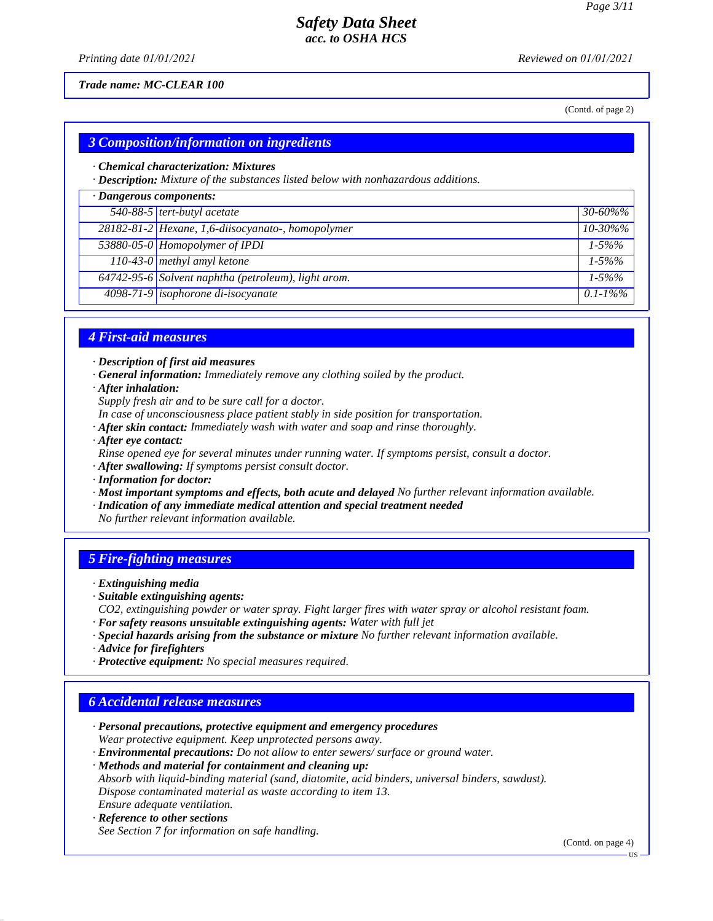*Printing date 01/01/2021 Reviewed on 01/01/2021*

#### *Trade name: MC-CLEAR 100*

(Contd. of page 2)

## *3 Composition/information on ingredients*

#### *· Chemical characterization: Mixtures*

*· Description: Mixture of the substances listed below with nonhazardous additions.*

| · Dangerous components: |                                                     |               |
|-------------------------|-----------------------------------------------------|---------------|
|                         | 540-88-5 tert-butyl acetate                         | $30 - 60\%$ % |
|                         | 28182-81-2 Hexane, 1,6-diisocyanato-, homopolymer   | $10 - 30\%$ % |
|                         | 53880-05-0 Homopolymer of IPDI                      | $1 - 5\%%$    |
|                         | 110-43-0 methyl amyl ketone                         | $1 - 5\%%$    |
|                         | 64742-95-6 Solvent naphtha (petroleum), light arom. | $1 - 5\%%$    |
|                         | 4098-71-9 isophorone di-isocyanate                  | $0.1 - 1\%$ % |

## *4 First-aid measures*

*· Description of first aid measures*

*· General information: Immediately remove any clothing soiled by the product.*

*· After inhalation:*

*Supply fresh air and to be sure call for a doctor.*

*In case of unconsciousness place patient stably in side position for transportation.*

- *· After skin contact: Immediately wash with water and soap and rinse thoroughly.*
- *· After eye contact:*

*Rinse opened eye for several minutes under running water. If symptoms persist, consult a doctor.*

*· After swallowing: If symptoms persist consult doctor.*

- *· Information for doctor:*
- *· Most important symptoms and effects, both acute and delayed No further relevant information available.*
- *· Indication of any immediate medical attention and special treatment needed*

*No further relevant information available.*

### *5 Fire-fighting measures*

- *· Extinguishing media*
- *· Suitable extinguishing agents:*
- *CO2, extinguishing powder or water spray. Fight larger fires with water spray or alcohol resistant foam.*
- *· For safety reasons unsuitable extinguishing agents: Water with full jet*
- *· Special hazards arising from the substance or mixture No further relevant information available.*
- *· Advice for firefighters*
- *· Protective equipment: No special measures required.*

### *6 Accidental release measures*

- *· Personal precautions, protective equipment and emergency procedures Wear protective equipment. Keep unprotected persons away.*
- *· Environmental precautions: Do not allow to enter sewers/ surface or ground water.*

*· Methods and material for containment and cleaning up:*

*Absorb with liquid-binding material (sand, diatomite, acid binders, universal binders, sawdust). Dispose contaminated material as waste according to item 13.*

#### *Ensure adequate ventilation. · Reference to other sections*

*See Section 7 for information on safe handling.*

(Contd. on page 4)

US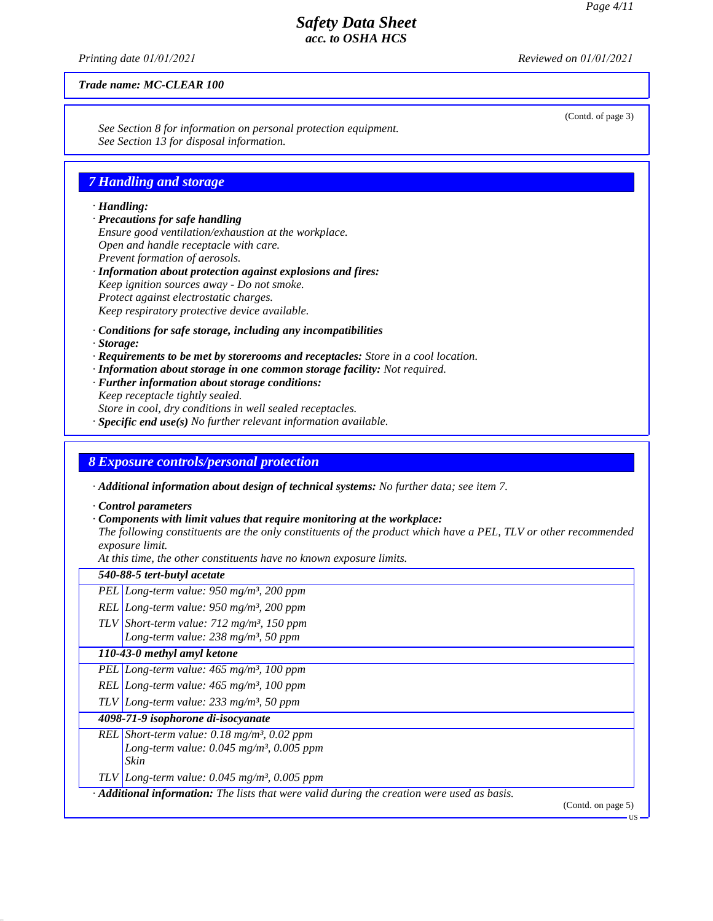(Contd. of page 3)

US

## *Safety Data Sheet acc. to OSHA HCS*

*Printing date 01/01/2021 Reviewed on 01/01/2021*

*Trade name: MC-CLEAR 100*

*See Section 8 for information on personal protection equipment. See Section 13 for disposal information.*

## *7 Handling and storage*

#### *· Handling:*

- *· Precautions for safe handling Ensure good ventilation/exhaustion at the workplace. Open and handle receptacle with care. Prevent formation of aerosols.*
- *· Information about protection against explosions and fires: Keep ignition sources away - Do not smoke. Protect against electrostatic charges. Keep respiratory protective device available.*
- *· Conditions for safe storage, including any incompatibilities*
- *· Storage:*
- *· Requirements to be met by storerooms and receptacles: Store in a cool location.*
- *· Information about storage in one common storage facility: Not required.*
- *· Further information about storage conditions:*
- *Keep receptacle tightly sealed. Store in cool, dry conditions in well sealed receptacles.*
- *· Specific end use(s) No further relevant information available.*

### *8 Exposure controls/personal protection*

*· Additional information about design of technical systems: No further data; see item 7.*

*· Control parameters*

### *· Components with limit values that require monitoring at the workplace:*

*The following constituents are the only constituents of the product which have a PEL, TLV or other recommended exposure limit.*

*At this time, the other constituents have no known exposure limits.*

| 540-88-5 tert-butyl acetate                                                                                                     |                    |
|---------------------------------------------------------------------------------------------------------------------------------|--------------------|
| PEL Long-term value: $950$ mg/m <sup>3</sup> , 200 ppm                                                                          |                    |
| REL Long-term value: $950$ mg/m <sup>3</sup> , 200 ppm                                                                          |                    |
| TLV Short-term value: $712 \text{ mg/m}^3$ , 150 ppm<br>Long-term value: $238$ mg/m <sup>3</sup> , 50 ppm                       |                    |
| 110-43-0 methyl amyl ketone                                                                                                     |                    |
| PEL Long-term value: $465$ mg/m <sup>3</sup> , 100 ppm                                                                          |                    |
| REL Long-term value: $465$ mg/m <sup>3</sup> , 100 ppm                                                                          |                    |
| TLV Long-term value: $233$ mg/m <sup>3</sup> , 50 ppm                                                                           |                    |
| 4098-71-9 isophorone di-isocyanate                                                                                              |                    |
| REL Short-term value: $0.18$ mg/m <sup>3</sup> , $0.02$ ppm<br>Long-term value: $0.045$ mg/m <sup>3</sup> , $0.005$ ppm<br>Skin |                    |
| TLV Long-term value: $0.045$ mg/m <sup>3</sup> , 0.005 ppm                                                                      |                    |
| $\cdot$ <b>Additional information:</b> The lists that were valid during the creation were used as basis.                        | (Contd. on page 5) |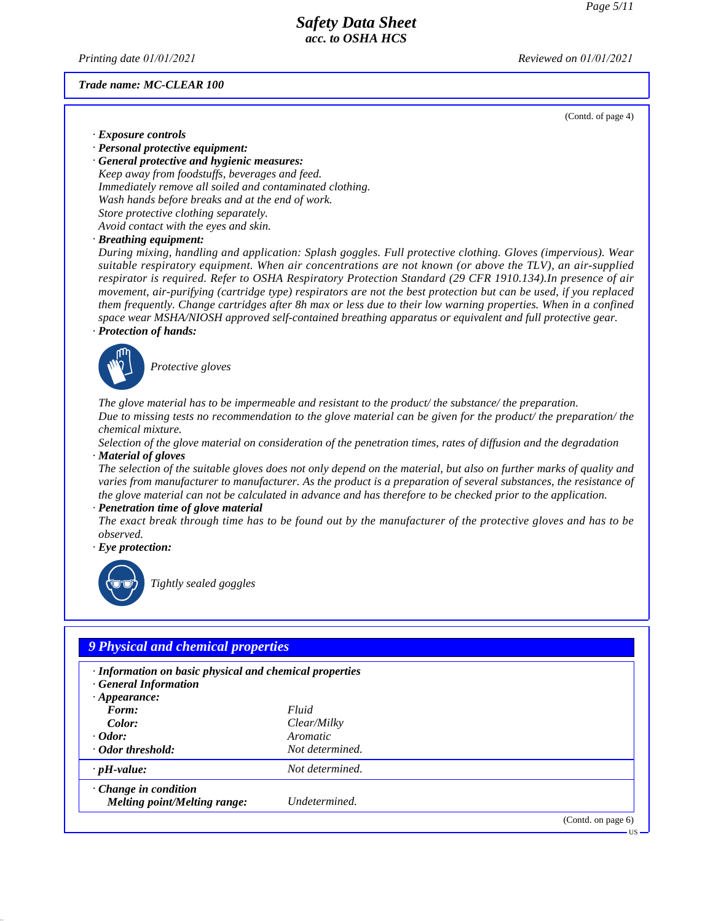*Printing date 01/01/2021 Reviewed on 01/01/2021*

#### *Trade name: MC-CLEAR 100*

(Contd. of page 4)

- *· Exposure controls*
- *· Personal protective equipment:*

*· General protective and hygienic measures: Keep away from foodstuffs, beverages and feed. Immediately remove all soiled and contaminated clothing. Wash hands before breaks and at the end of work. Store protective clothing separately. Avoid contact with the eyes and skin.*

*· Breathing equipment:*

*During mixing, handling and application: Splash goggles. Full protective clothing. Gloves (impervious). Wear suitable respiratory equipment. When air concentrations are not known (or above the TLV), an air-supplied respirator is required. Refer to OSHA Respiratory Protection Standard (29 CFR 1910.134).In presence of air movement, air-purifying (cartridge type) respirators are not the best protection but can be used, if you replaced them frequently. Change cartridges after 8h max or less due to their low warning properties. When in a confined space wear MSHA/NIOSH approved self-contained breathing apparatus or equivalent and full protective gear. · Protection of hands:*



\_S*Protective gloves*

*The glove material has to be impermeable and resistant to the product/ the substance/ the preparation. Due to missing tests no recommendation to the glove material can be given for the product/ the preparation/ the chemical mixture.*

*Selection of the glove material on consideration of the penetration times, rates of diffusion and the degradation · Material of gloves*

*The selection of the suitable gloves does not only depend on the material, but also on further marks of quality and varies from manufacturer to manufacturer. As the product is a preparation of several substances, the resistance of the glove material can not be calculated in advance and has therefore to be checked prior to the application.*

#### *· Penetration time of glove material*

*The exact break through time has to be found out by the manufacturer of the protective gloves and has to be observed.*

*· Eye protection:*



\_R*Tightly sealed goggles*

| · Information on basic physical and chemical properties<br>· General Information |                 |  |
|----------------------------------------------------------------------------------|-----------------|--|
| $\cdot$ Appearance:                                                              |                 |  |
| Form:                                                                            | Fluid           |  |
| Color:                                                                           | Clear/Milky     |  |
| $\cdot$ Odor:                                                                    | Aromatic        |  |
| · Odor threshold:                                                                | Not determined. |  |
| $\cdot$ pH-value:                                                                | Not determined. |  |
| $\cdot$ Change in condition                                                      |                 |  |
| Melting point/Melting range:                                                     | Undetermined.   |  |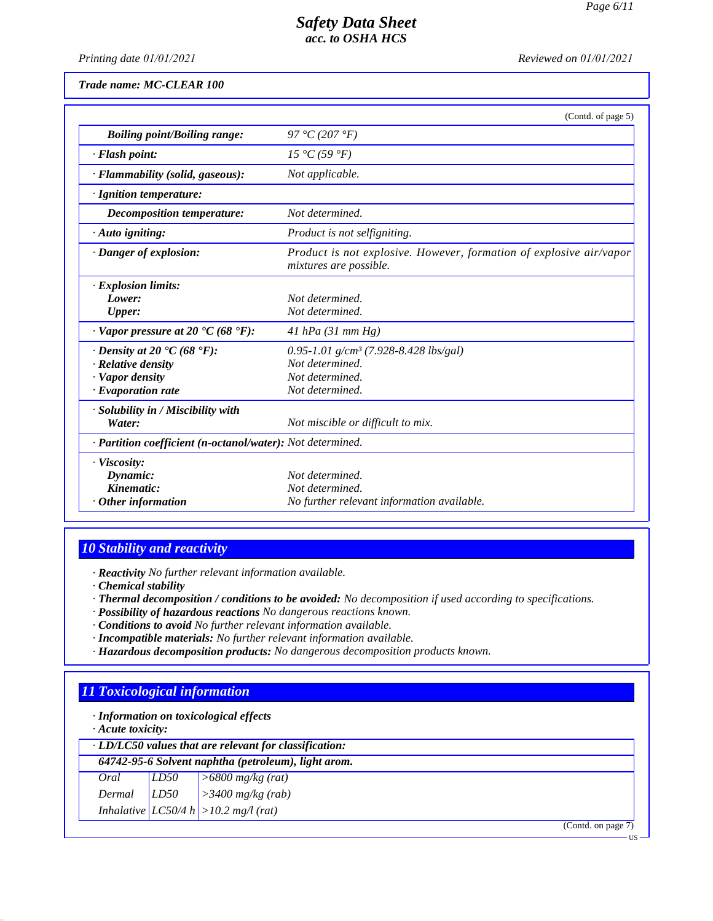*Printing date 01/01/2021 Reviewed on 01/01/2021*

*Trade name: MC-CLEAR 100*

|                                                                                                                      | (Contd. of page 5)                                                                                         |
|----------------------------------------------------------------------------------------------------------------------|------------------------------------------------------------------------------------------------------------|
| <b>Boiling point/Boiling range:</b>                                                                                  | 97 °C (207 °F)                                                                                             |
| · Flash point:                                                                                                       | 15 °C (59 °F)                                                                                              |
| · Flammability (solid, gaseous):                                                                                     | Not applicable.                                                                                            |
| · Ignition temperature:                                                                                              |                                                                                                            |
| Decomposition temperature:                                                                                           | Not determined.                                                                                            |
| $\cdot$ Auto igniting:                                                                                               | Product is not selfigniting.                                                                               |
| $\cdot$ Danger of explosion:                                                                                         | Product is not explosive. However, formation of explosive air/vapor<br>mixtures are possible.              |
| $\cdot$ Explosion limits:<br>Lower:<br><b>Upper:</b>                                                                 | Not determined.<br>Not determined.                                                                         |
| $\cdot$ Vapor pressure at 20 $\cdot$ C (68 $\cdot$ F):                                                               | 41 hPa $(31$ mm Hg)                                                                                        |
| $\cdot$ Density at 20 $\cdot$ C (68 $\cdot$ F):<br>· Relative density<br>· Vapor density<br>$\cdot$ Evaporation rate | 0.95-1.01 g/cm <sup>3</sup> (7.928-8.428 lbs/gal)<br>Not determined.<br>Not determined.<br>Not determined. |
| · Solubility in / Miscibility with<br>Water:                                                                         | Not miscible or difficult to mix.                                                                          |
| · Partition coefficient (n-octanol/water): Not determined.                                                           |                                                                                                            |
| · Viscosity:<br>Dynamic:<br>Kinematic:<br>$\cdot$ Other information                                                  | Not determined.<br>Not determined.<br>No further relevant information available.                           |

# *10 Stability and reactivity*

*· Reactivity No further relevant information available.*

- *· Chemical stability*
- *· Thermal decomposition / conditions to be avoided: No decomposition if used according to specifications.*
- *· Possibility of hazardous reactions No dangerous reactions known.*
- *· Conditions to avoid No further relevant information available.*
- *· Incompatible materials: No further relevant information available.*
- *· Hazardous decomposition products: No dangerous decomposition products known.*

# *11 Toxicological information*

*· Information on toxicological effects*

*· Acute toxicity:*

| $\cdot$ LD/LC50 values that are relevant for classification: |      |                                           |  |
|--------------------------------------------------------------|------|-------------------------------------------|--|
| 64742-95-6 Solvent naphtha (petroleum), light arom.          |      |                                           |  |
| Oral                                                         | LD50 | $\geq 6800$ mg/kg (rat)                   |  |
| Dermal                                                       | LD50 | $\vert$ > 3400 mg/kg (rab)                |  |
|                                                              |      | Inhalative $ LCS0/4 h  > 10.2 mg/l$ (rat) |  |
|                                                              |      | (Cond. on page 7)                         |  |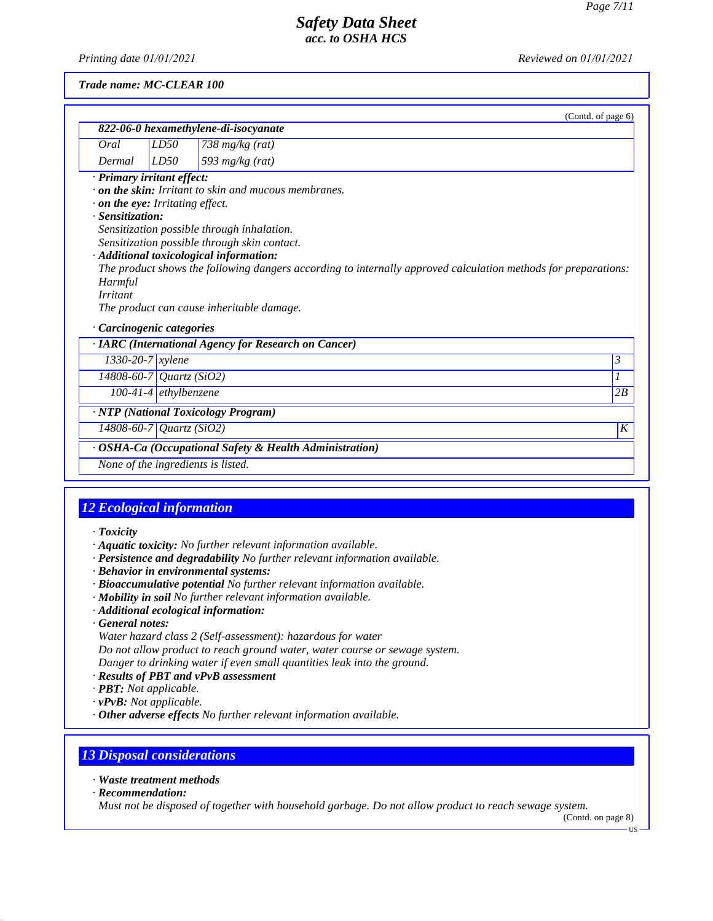*Printing date 01/01/2021 Reviewed on 01/01/2021*

#### *Trade name: MC-CLEAR 100*

|                                        |                         | (Contd. of page 6)                                                                                             |    |
|----------------------------------------|-------------------------|----------------------------------------------------------------------------------------------------------------|----|
|                                        |                         | 822-06-0 hexamethylene-di-isocyanate                                                                           |    |
| Oral                                   | LD50                    | 738 $mg/kg$ (rat)                                                                                              |    |
| Dermal                                 | LD50                    | 593 $mg/kg$ (rat)                                                                                              |    |
| · Primary irritant effect:             |                         |                                                                                                                |    |
|                                        |                         | $\cdot$ on the skin: Irritant to skin and mucous membranes.                                                    |    |
| $\cdot$ on the eye: Irritating effect. |                         |                                                                                                                |    |
| · Sensitization:                       |                         |                                                                                                                |    |
|                                        |                         | Sensitization possible through inhalation.                                                                     |    |
|                                        |                         | Sensitization possible through skin contact.                                                                   |    |
|                                        |                         | · Additional toxicological information:                                                                        |    |
|                                        |                         | The product shows the following dangers according to internally approved calculation methods for preparations: |    |
| Harmful                                |                         |                                                                                                                |    |
| <b>Irritant</b>                        |                         |                                                                                                                |    |
|                                        |                         | The product can cause inheritable damage.                                                                      |    |
| · Carcinogenic categories              |                         |                                                                                                                |    |
|                                        |                         | · IARC (International Agency for Research on Cancer)                                                           |    |
| $1330 - 20 - 7$ <i>xylene</i>          |                         |                                                                                                                | 3  |
| 14808-60-7 Quartz (SiO2)               |                         |                                                                                                                |    |
|                                        | $100-41-4$ ethylbenzene |                                                                                                                | 2B |
|                                        |                         | · NTP (National Toxicology Program)                                                                            |    |
| 14808-60-7 Quartz (SiO2)               |                         |                                                                                                                | K  |
|                                        |                         | · OSHA-Ca (Occupational Safety & Health Administration)                                                        |    |
|                                        |                         | None of the ingredients is listed.                                                                             |    |

## *12 Ecological information*

- *· Toxicity*
- *· Aquatic toxicity: No further relevant information available.*
- *· Persistence and degradability No further relevant information available.*
- *· Behavior in environmental systems:*
- *· Bioaccumulative potential No further relevant information available.*
- *· Mobility in soil No further relevant information available.*
- *· Additional ecological information:*
- *· General notes:*
- *Water hazard class 2 (Self-assessment): hazardous for water*

*Do not allow product to reach ground water, water course or sewage system.*

- *Danger to drinking water if even small quantities leak into the ground.*
- *· Results of PBT and vPvB assessment*
- *· PBT: Not applicable.*
- *· vPvB: Not applicable.*
- *· Other adverse effects No further relevant information available.*

# *13 Disposal considerations*

- *· Waste treatment methods*
- *· Recommendation:*

*Must not be disposed of together with household garbage. Do not allow product to reach sewage system.*

(Contd. on page 8)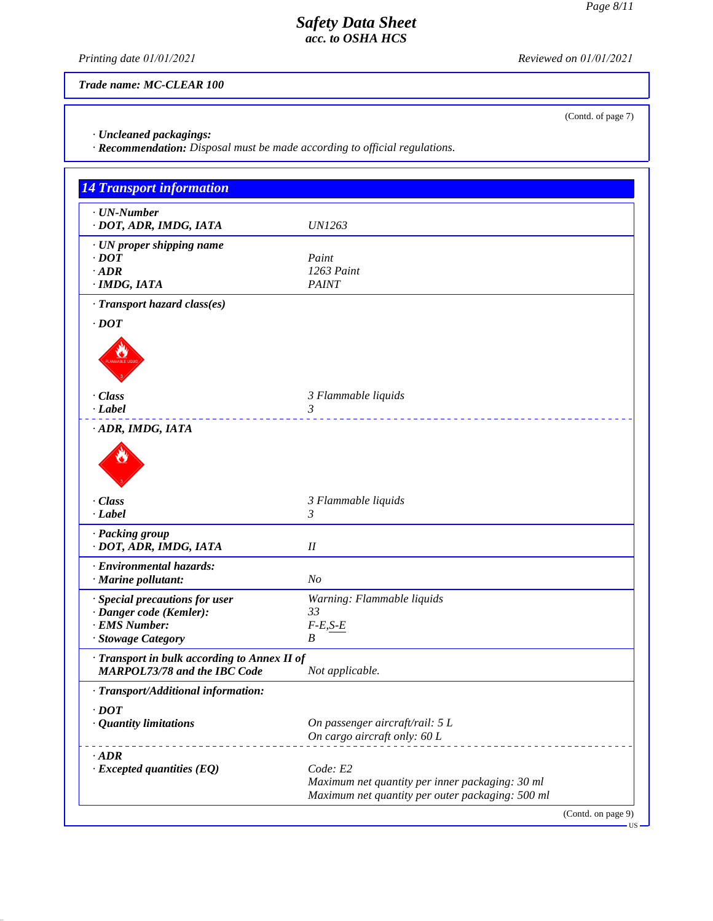(Contd. of page 7)

# *Safety Data Sheet acc. to OSHA HCS*

*Printing date 01/01/2021 Reviewed on 01/01/2021*

*Trade name: MC-CLEAR 100*

*· Uncleaned packagings:*

*· Recommendation: Disposal must be made according to official regulations.*

| <b>14 Transport information</b>                                                                  |                                                                                                                 |
|--------------------------------------------------------------------------------------------------|-----------------------------------------------------------------------------------------------------------------|
| $\cdot$ UN-Number<br>· DOT, ADR, IMDG, IATA                                                      | <b>UN1263</b>                                                                                                   |
| · UN proper shipping name<br>$\cdot$ <i>DOT</i><br>$\cdot$ ADR<br>· IMDG, IATA                   | Paint<br>1263 Paint<br><b>PAINT</b>                                                                             |
| · Transport hazard class(es)<br>$\cdot$ DOT                                                      |                                                                                                                 |
| · Class<br>· Label                                                                               | 3 Flammable liquids<br>3                                                                                        |
| ADR, IMDG, IATA<br>· Class                                                                       | 3 Flammable liquids                                                                                             |
| · Label                                                                                          | 3                                                                                                               |
| · Packing group<br>· DOT, ADR, IMDG, IATA                                                        | $I\!I$                                                                                                          |
| · Environmental hazards:<br>$\cdot$ Marine pollutant:                                            | N <sub>O</sub>                                                                                                  |
| · Special precautions for user<br>· Danger code (Kemler):<br>· EMS Number:<br>· Stowage Category | Warning: Flammable liquids<br>33<br>$F-E,S-E$<br>B                                                              |
| · Transport in bulk according to Annex II of<br><b>MARPOL73/78 and the IBC Code</b>              | Not applicable.                                                                                                 |
| · Transport/Additional information:                                                              |                                                                                                                 |
| $\cdot$ DOT<br>· Quantity limitations                                                            | On passenger aircraft/rail: 5 L<br>On cargo aircraft only: 60 L                                                 |
| $\cdot$ <i>ADR</i><br>$\cdot$ Excepted quantities (EQ)                                           | Code: E2<br>Maximum net quantity per inner packaging: 30 ml<br>Maximum net quantity per outer packaging: 500 ml |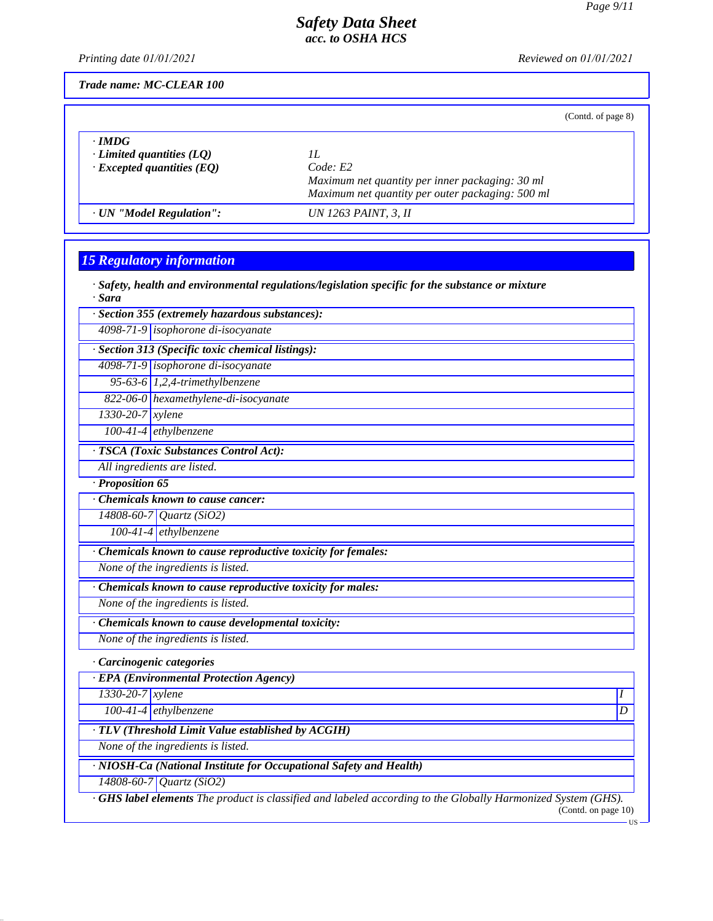*Printing date 01/01/2021 Reviewed on 01/01/2021*

*Trade name: MC-CLEAR 100*

(Contd. of page 8)

| $\cdot$ IMDG                     | Code: E2                                         |
|----------------------------------|--------------------------------------------------|
| $\cdot$ Limited quantities (LO)  | Maximum net quantity per inner packaging: 30 ml  |
| $\cdot$ Excepted quantities (EQ) | Maximum net quantity per outer packaging: 500 ml |
| · UN "Model Regulation":         | UN 1263 PAINT, 3, II                             |

# *15 Regulatory information*

*· Safety, health and environmental regulations/legislation specific for the substance or mixture · Sara*

*· Section 355 (extremely hazardous substances):*

*4098-71-9 isophorone di-isocyanate*

*· Section 313 (Specific toxic chemical listings):*

*4098-71-9 isophorone di-isocyanate*

*95-63-6 1,2,4-trimethylbenzene*

*822-06-0 hexamethylene-di-isocyanate*

*1330-20-7 xylene*

*100-41-4 ethylbenzene*

*· TSCA (Toxic Substances Control Act):*

*All ingredients are listed.*

*· Proposition 65*

*· Chemicals known to cause cancer:*

*14808-60-7 Quartz (SiO2)*

*100-41-4 ethylbenzene*

*· Chemicals known to cause reproductive toxicity for females:*

*None of the ingredients is listed.*

*· Chemicals known to cause reproductive toxicity for males:*

*None of the ingredients is listed.*

*· Chemicals known to cause developmental toxicity:*

*None of the ingredients is listed.*

*· Carcinogenic categories*

*· EPA (Environmental Protection Agency)*

*1330-20-7 xylene I* 

*100-41-4 ethylbenzene D* 

*· TLV (Threshold Limit Value established by ACGIH)*

*None of the ingredients is listed.*

*· NIOSH-Ca (National Institute for Occupational Safety and Health)*

*14808-60-7 Quartz (SiO2)*

*· GHS label elements The product is classified and labeled according to the Globally Harmonized System (GHS).* (Contd. on page 10)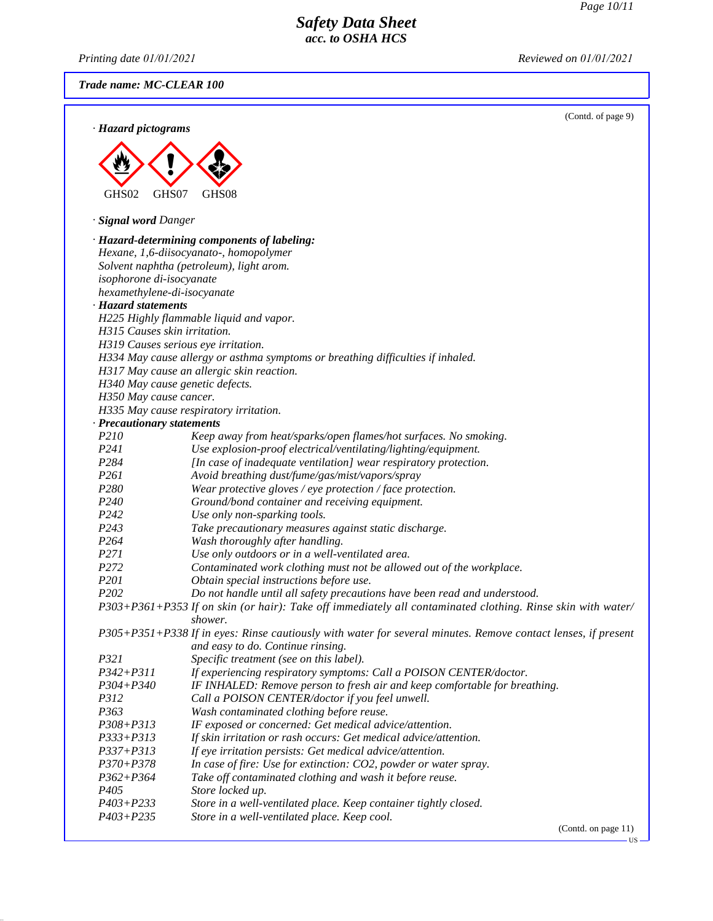$-US$ 

# *Safety Data Sheet acc. to OSHA HCS*

*Printing date 01/01/2021 Reviewed on 01/01/2021*

*Trade name: MC-CLEAR 100*

|                                 |                                                                                                                          | (Contd. of page 9)  |
|---------------------------------|--------------------------------------------------------------------------------------------------------------------------|---------------------|
| · Hazard pictograms             |                                                                                                                          |                     |
|                                 |                                                                                                                          |                     |
|                                 |                                                                                                                          |                     |
|                                 |                                                                                                                          |                     |
|                                 |                                                                                                                          |                     |
| GHS <sub>02</sub><br>GHS07      | GHS08                                                                                                                    |                     |
| · Signal word Danger            |                                                                                                                          |                     |
|                                 |                                                                                                                          |                     |
|                                 | · Hazard-determining components of labeling:<br>Hexane, 1,6-diisocyanato-, homopolymer                                   |                     |
|                                 | Solvent naphtha (petroleum), light arom.                                                                                 |                     |
| isophorone di-isocyanate        |                                                                                                                          |                     |
| hexamethylene-di-isocyanate     |                                                                                                                          |                     |
| · Hazard statements             |                                                                                                                          |                     |
|                                 | H225 Highly flammable liquid and vapor.                                                                                  |                     |
| H315 Causes skin irritation.    |                                                                                                                          |                     |
|                                 | H319 Causes serious eye irritation.                                                                                      |                     |
|                                 | H334 May cause allergy or asthma symptoms or breathing difficulties if inhaled.                                          |                     |
|                                 | H317 May cause an allergic skin reaction.                                                                                |                     |
| H340 May cause genetic defects. |                                                                                                                          |                     |
| H350 May cause cancer.          |                                                                                                                          |                     |
|                                 | H335 May cause respiratory irritation.                                                                                   |                     |
| · Precautionary statements      |                                                                                                                          |                     |
| P210                            | Keep away from heat/sparks/open flames/hot surfaces. No smoking.                                                         |                     |
| P241                            | Use explosion-proof electrical/ventilating/lighting/equipment.                                                           |                     |
| P284                            | [In case of inadequate ventilation] wear respiratory protection.                                                         |                     |
| P261                            | Avoid breathing dust/fume/gas/mist/vapors/spray                                                                          |                     |
| P280                            | Wear protective gloves / eye protection / face protection.                                                               |                     |
| P240                            | Ground/bond container and receiving equipment.                                                                           |                     |
| P242                            | Use only non-sparking tools.                                                                                             |                     |
| P243                            | Take precautionary measures against static discharge.                                                                    |                     |
| P <sub>264</sub>                | Wash thoroughly after handling.                                                                                          |                     |
| P271                            | Use only outdoors or in a well-ventilated area.                                                                          |                     |
| P272                            | Contaminated work clothing must not be allowed out of the workplace.                                                     |                     |
| P201                            | Obtain special instructions before use.                                                                                  |                     |
| P202                            | Do not handle until all safety precautions have been read and understood.                                                |                     |
|                                 | P303+P361+P353 If on skin (or hair): Take off immediately all contaminated clothing. Rinse skin with water/              |                     |
|                                 | shower.<br>P305+P351+P338 If in eyes: Rinse cautiously with water for several minutes. Remove contact lenses, if present |                     |
|                                 | and easy to do. Continue rinsing.                                                                                        |                     |
| P321                            | Specific treatment (see on this label).                                                                                  |                     |
| $P342 + P311$                   | If experiencing respiratory symptoms: Call a POISON CENTER/doctor.                                                       |                     |
| $P304 + P340$                   | IF INHALED: Remove person to fresh air and keep comfortable for breathing.                                               |                     |
| P312                            | Call a POISON CENTER/doctor if you feel unwell.                                                                          |                     |
| P363                            | Wash contaminated clothing before reuse.                                                                                 |                     |
| P308+P313                       | IF exposed or concerned: Get medical advice/attention.                                                                   |                     |
| $P333 + P313$                   | If skin irritation or rash occurs: Get medical advice/attention.                                                         |                     |
| $P337 + P313$                   | If eye irritation persists: Get medical advice/attention.                                                                |                     |
| $P370 + P378$                   | In case of fire: Use for extinction: CO2, powder or water spray.                                                         |                     |
| $P362 + P364$                   | Take off contaminated clothing and wash it before reuse.                                                                 |                     |
| P <sub>405</sub>                | Store locked up.                                                                                                         |                     |
| $P403 + P233$                   | Store in a well-ventilated place. Keep container tightly closed.                                                         |                     |
| $P403 + P235$                   | Store in a well-ventilated place. Keep cool.                                                                             |                     |
|                                 |                                                                                                                          | (Contd. on page 11) |